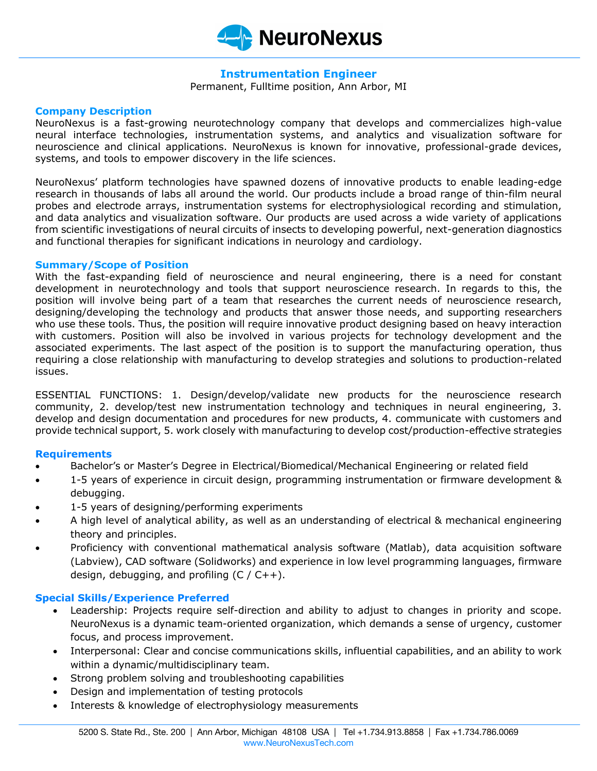

# **Instrumentation Engineer**

Permanent, Fulltime position, Ann Arbor, MI

#### **Company Description**

NeuroNexus is a fast-growing neurotechnology company that develops and commercializes high-value neural interface technologies, instrumentation systems, and analytics and visualization software for neuroscience and clinical applications. NeuroNexus is known for innovative, professional-grade devices, systems, and tools to empower discovery in the life sciences.

NeuroNexus' platform technologies have spawned dozens of innovative products to enable leading-edge research in thousands of labs all around the world. Our products include a broad range of thin-film neural probes and electrode arrays, instrumentation systems for electrophysiological recording and stimulation, and data analytics and visualization software. Our products are used across a wide variety of applications from scientific investigations of neural circuits of insects to developing powerful, next-generation diagnostics and functional therapies for significant indications in neurology and cardiology.

#### **Summary/Scope of Position**

With the fast-expanding field of neuroscience and neural engineering, there is a need for constant development in neurotechnology and tools that support neuroscience research. In regards to this, the position will involve being part of a team that researches the current needs of neuroscience research, designing/developing the technology and products that answer those needs, and supporting researchers who use these tools. Thus, the position will require innovative product designing based on heavy interaction with customers. Position will also be involved in various projects for technology development and the associated experiments. The last aspect of the position is to support the manufacturing operation, thus requiring a close relationship with manufacturing to develop strategies and solutions to production-related issues.

ESSENTIAL FUNCTIONS: 1. Design/develop/validate new products for the neuroscience research community, 2. develop/test new instrumentation technology and techniques in neural engineering, 3. develop and design documentation and procedures for new products, 4. communicate with customers and provide technical support, 5. work closely with manufacturing to develop cost/production-effective strategies

# **Requirements**

- Bachelor's or Master's Degree in Electrical/Biomedical/Mechanical Engineering or related field
- 1-5 years of experience in circuit design, programming instrumentation or firmware development & debugging.
- 1-5 years of designing/performing experiments
- A high level of analytical ability, as well as an understanding of electrical & mechanical engineering theory and principles.
- Proficiency with conventional mathematical analysis software (Matlab), data acquisition software (Labview), CAD software (Solidworks) and experience in low level programming languages, firmware design, debugging, and profiling  $(C / C++)$ .

# **Special Skills/Experience Preferred**

- Leadership: Projects require self-direction and ability to adjust to changes in priority and scope. NeuroNexus is a dynamic team-oriented organization, which demands a sense of urgency, customer focus, and process improvement.
- Interpersonal: Clear and concise communications skills, influential capabilities, and an ability to work within a dynamic/multidisciplinary team.
- Strong problem solving and troubleshooting capabilities
- Design and implementation of testing protocols
- Interests & knowledge of electrophysiology measurements